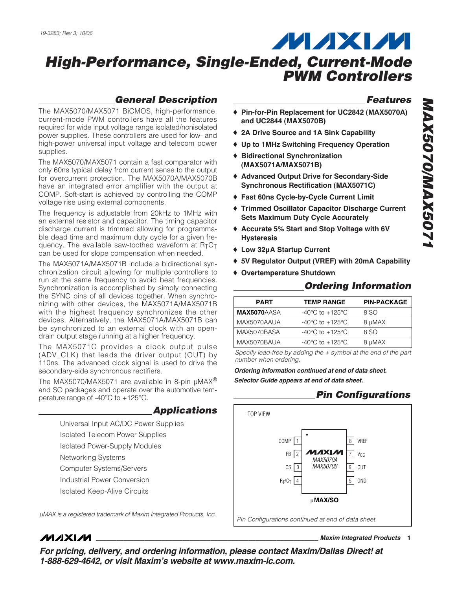## *General Description*

The MAX5070/MAX5071 BiCMOS, high-performance, current-mode PWM controllers have all the features required for wide input voltage range isolated/nonisolated power supplies. These controllers are used for low- and high-power universal input voltage and telecom power supplies.

The MAX5070/MAX5071 contain a fast comparator with only 60ns typical delay from current sense to the output for overcurrent protection. The MAX5070A/MAX5070B have an integrated error amplifier with the output at COMP. Soft-start is achieved by controlling the COMP voltage rise using external components.

The frequency is adjustable from 20kHz to 1MHz with an external resistor and capacitor. The timing capacitor discharge current is trimmed allowing for programmable dead time and maximum duty cycle for a given frequency. The available saw-toothed waveform at RTCT can be used for slope compensation when needed.

The MAX5071A/MAX5071B include a bidirectional synchronization circuit allowing for multiple controllers to run at the same frequency to avoid beat frequencies. Synchronization is accomplished by simply connecting the SYNC pins of all devices together. When synchronizing with other devices, the MAX5071A/MAX5071B with the highest frequency synchronizes the other devices. Alternatively, the MAX5071A/MAX5071B can be synchronized to an external clock with an opendrain output stage running at a higher frequency.

The MAX5071C provides a clock output pulse (ADV\_CLK) that leads the driver output (OUT) by 110ns. The advanced clock signal is used to drive the secondary-side synchronous rectifiers.

The MAX5070/MAX5071 are available in 8-pin  $\mu$ MAX<sup>®</sup> and SO packages and operate over the automotive temperature range of -40°C to +125°C.

## *Applications*

- Universal Input AC/DC Power Supplies
- Isolated Telecom Power Supplies
- Isolated Power-Supply Modules
- Networking Systems
- Computer Systems/Servers
- Industrial Power Conversion
- Isolated Keep-Alive Circuits

## *Features*

- ♦ **Pin-for-Pin Replacement for UC2842 (MAX5070A) and UC2844 (MAX5070B)**
- ♦ **2A Drive Source and 1A Sink Capability**
- ♦ **Up to 1MHz Switching Frequency Operation**
- ♦ **Bidirectional Synchronization (MAX5071A/MAX5071B)**
- ♦ **Advanced Output Drive for Secondary-Side Synchronous Rectification (MAX5071C)**
- ♦ **Fast 60ns Cycle-by-Cycle Current Limit**
- ♦ **Trimmed Oscillator Capacitor Discharge Current Sets Maximum Duty Cycle Accurately**
- ♦ **Accurate 5% Start and Stop Voltage with 6V Hysteresis**
- ♦ **Low 32µA Startup Current**
- ♦ **5V Regulator Output (VREF) with 20mA Capability**
- ♦ **Overtemperature Shutdown**

## *Ordering Information*

| <b>PART</b> | <b>TEMP RANGE</b>                     | <b>PIN-PACKAGE</b> |
|-------------|---------------------------------------|--------------------|
| MAX5070AASA | -40 $^{\circ}$ C to +125 $^{\circ}$ C | 8 SO               |
| MAX5070AAUA | -40 $^{\circ}$ C to +125 $^{\circ}$ C | 8 µMAX             |
| MAX5070BASA | $-40^{\circ}$ C to $+125^{\circ}$ C   | 8 SO               |
| MAX5070BAUA | $-40^{\circ}$ C to $+125^{\circ}$ C   | 8 µMAX             |

*Specify lead-free by adding the + symbol at the end of the part number when ordering.* 

*Ordering Information continued at end of data sheet. Selector Guide appears at end of data sheet.*

## *Pin Configurations*



## **MAXIM**

**\_\_\_\_\_\_\_\_\_\_\_\_\_\_\_\_\_\_\_\_\_\_\_\_\_\_\_\_\_\_\_\_\_\_\_\_\_\_\_\_\_\_\_\_\_\_\_\_\_\_\_\_\_\_\_\_\_\_\_\_\_\_\_\_** *Maxim Integrated Products* **1**

*For pricing, delivery, and ordering information, please contact Maxim/Dallas Direct! at 1-888-629-4642, or visit Maxim's website at www.maxim-ic.com.*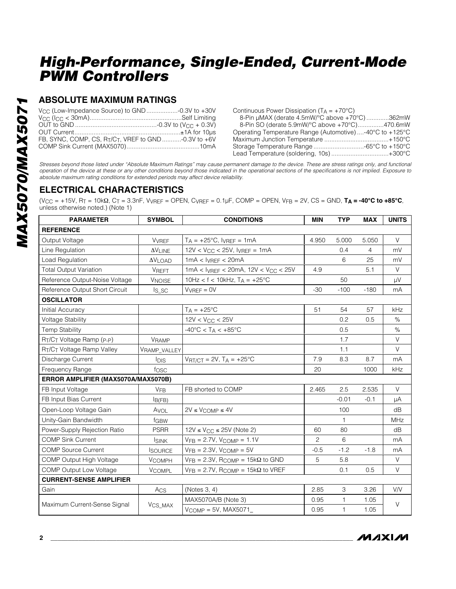## **ABSOLUTE MAXIMUM RATINGS**

| FB, SYNC, COMP, CS, $R_T/C_T$ , VREF to GND -0.3V to +6V |  |
|----------------------------------------------------------|--|
|                                                          |  |

Continuous Power Dissipation  $(T_A = +70^{\circ}C)$ 8-Pin µMAX (derate 4.5mW/°C above +70°C) .............362mW 8-Pin SO (derate 5.9mW/°C above +70°C)...............470.6mW Operating Temperature Range (Automotive) ....-40°C to +125°C Maximum Junction Temperature .....................................+150°C Storage Temperature Range .............................-65°C to +150°C Lead Temperature (soldering, 10s) .................................+300°C

*Stresses beyond those listed under "Absolute Maximum Ratings" may cause permanent damage to the device. These are stress ratings only, and functional operation of the device at these or any other conditions beyond those indicated in the operational sections of the specifications is not implied. Exposure to absolute maximum rating conditions for extended periods may affect device reliability.*

## **ELECTRICAL CHARACTERISTICS**

(VCC = +15V, RT = 10kΩ, CT = 3.3nF, VVREF = OPEN, CVREF = 0.1µF, COMP = OPEN, VFB = 2V, CS = GND, **TA = -40°C to +85°C**, unless otherwise noted.) (Note 1)

| <b>PARAMETER</b>                                  | <b>SYMBOL</b>                               | <b>CONDITIONS</b>                              | <b>MIN</b>     | <b>TYP</b> | <b>MAX</b>     | <b>UNITS</b> |
|---------------------------------------------------|---------------------------------------------|------------------------------------------------|----------------|------------|----------------|--------------|
| <b>REFERENCE</b>                                  |                                             |                                                |                |            |                |              |
| Output Voltage                                    | <b>VVREF</b>                                | $T_A = +25^{\circ}C$ , $I_{VREF} = 1mA$        | 4.950          | 5.000      | 5.050          | V            |
| Line Regulation                                   | $\Delta\ensuremath{\mathsf{V}}\xspace$ LINE | $12V < V_{CC} < 25V$ , $I_{VREF} = 1mA$        |                | 0.4        | $\overline{4}$ | mV           |
| Load Regulation                                   | $\Delta V$ LOAD                             | $1mA < I_{VREF} < 20mA$                        |                | 6          | 25             | mV           |
| <b>Total Output Variation</b>                     | <b>VREFT</b>                                | $1mA < I_{VREF} < 20mA$ , $12V < V_{CC} < 25V$ | 4.9            |            | 5.1            | $\vee$       |
| Reference Output-Noise Voltage                    | <b>VNOISE</b>                               | 10Hz < $f$ < 10kHz, $T_A$ = +25°C              |                | 50         |                | μV           |
| Reference Output Short Circuit                    | $Is_{SC}$                                   | $V_{VREF} = 0V$                                | $-30$          | $-100$     | $-180$         | mA           |
| <b>OSCILLATOR</b>                                 |                                             |                                                |                |            |                |              |
| Initial Accuracy                                  |                                             | $T_A = +25$ °C                                 | 51             | 54         | 57             | kHz          |
| <b>Voltage Stability</b>                          |                                             | $12V < V_{CC} < 25V$                           |                | 0.2        | 0.5            | %            |
| <b>Temp Stability</b>                             |                                             | $-40\degree C < T_A < +85\degree C$            |                | 0.5        |                | $\%$         |
| R <sub>T</sub> /C <sub>T</sub> Voltage Ramp (p-p) | VRAMP                                       |                                                |                | 1.7        |                | $\vee$       |
| RT/CT Voltage Ramp Valley                         | VRAMP_VALLEY                                |                                                |                | 1.1        |                | $\vee$       |
| Discharge Current                                 | <b>I</b> DIS                                | $V_{\text{RT/CT}} = 2V$ , $T_A = +25^{\circ}C$ | 7.9            | 8.3        | 8.7            | mA           |
| Frequency Range                                   | fosc                                        |                                                | 20             |            | 1000           | kHz          |
| ERROR AMPLIFIER (MAX5070A/MAX5070B)               |                                             |                                                |                |            |                |              |
| FB Input Voltage                                  | <b>VFB</b>                                  | FB shorted to COMP                             | 2.465          | 2.5        | 2.535          | V            |
| FB Input Bias Current                             | I <sub>B(FB)</sub>                          |                                                |                | $-0.01$    | $-0.1$         | μA           |
| Open-Loop Voltage Gain                            | AVOL                                        | $2V \leq V$ COMP $\leq 4V$                     |                | 100        |                | dB           |
| Unity-Gain Bandwidth                              | fGBW                                        |                                                |                | 1          |                | MHz          |
| Power-Supply Rejection Ratio                      | <b>PSRR</b>                                 | $12V \le V_{CC} \le 25V$ (Note 2)              | 60             | 80         |                | dB           |
| <b>COMP Sink Current</b>                          | <b>ISINK</b>                                | $VFB = 2.7V$ , $VCOMP = 1.1V$                  | $\overline{2}$ | 6          |                | mA           |
| <b>COMP Source Current</b>                        | <b>ISOURCE</b>                              | $VFB = 2.3V$ , $VCOMP = 5V$                    | $-0.5$         | $-1.2$     | $-1.8$         | mA           |
| COMP Output High Voltage                          | <b>VCOMPH</b>                               | $VFB = 2.3V$ , RCOMP = 15k $\Omega$ to GND     | 5              | 5.8        |                | V            |
| <b>COMP Output Low Voltage</b>                    | <b>VCOMPL</b>                               | $VFB = 2.7V$ , RCOMP = 15k $\Omega$ to VREF    |                | 0.1        | 0.5            | $\vee$       |
| <b>CURRENT-SENSE AMPLIFIER</b>                    |                                             |                                                |                |            |                |              |
| Gain                                              | Acs                                         | (Notes 3, 4)                                   | 2.85           | 3          | 3.26           | V/V          |
|                                                   |                                             | MAX5070A/B (Note 3)                            | 0.95           | 1          | 1.05           |              |
| Maximum Current-Sense Signal                      | V <sub>CS_MAX</sub>                         | $V_{COMP} = 5V$ , MAX5071                      | 0.95           | 1          | 1.05           | $\vee$       |

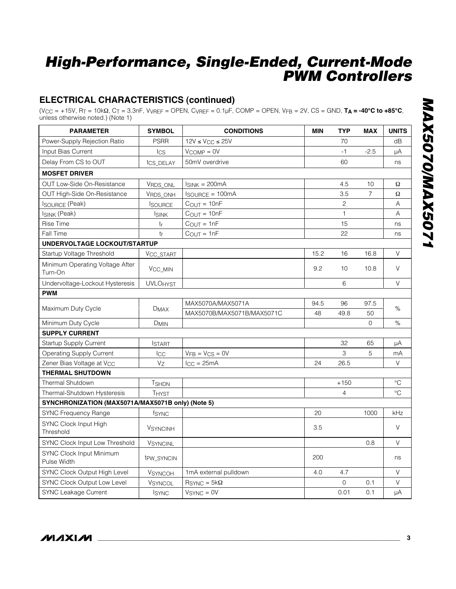# **ELECTRICAL CHARACTERISTICS (continued)**

(VCC = +15V, RT = 10kΩ, CT = 3.3nF, VVREF = OPEN, CVREF = 0.1µF, COMP = OPEN, VFB = 2V, CS = GND, **TA = -40°C to +85°C**, unless otherwise noted.) (Note 1)

| <b>PARAMETER</b>                                  | <b>SYMBOL</b>          | <b>CONDITIONS</b>          | <b>MIN</b> | <b>TYP</b>     | <b>MAX</b>     | <b>UNITS</b> |
|---------------------------------------------------|------------------------|----------------------------|------------|----------------|----------------|--------------|
| Power-Supply Rejection Ratio                      | <b>PSRR</b>            | $12V \leq V_{CC} \leq 25V$ |            | 70             |                | dB           |
| Input Bias Current                                | <b>I</b> CS            | $V_{COMP} = 0V$            |            | $-1$           | $-2.5$         | uA           |
| Delay From CS to OUT                              | tcs DELAY              | 50mV overdrive             |            | 60             |                | ns           |
| <b>MOSFET DRIVER</b>                              |                        |                            |            |                |                |              |
| OUT Low-Side On-Resistance                        | VRDS_ONL               | $ISINK = 200mA$            |            | 4.5            | 10             | Ω            |
| <b>OUT High-Side On-Resistance</b>                | VRDS ONH               | <b>ISOURCE = 100mA</b>     |            | 3.5            | $\overline{7}$ | Ω            |
| <b>ISOURCE (Peak)</b>                             | <b>ISOURCE</b>         | $C_{OUT} = 10nF$           |            | $\mathbf{2}$   |                | Α            |
| <b>ISINK (Peak)</b>                               | <b>ISINK</b>           | $C_{OUT} = 10nF$           |            | $\mathbf{1}$   |                | Α            |
| Rise Time                                         | $t_{r}$                | $C_{\text{OUT}} = 1nF$     |            | 15             |                | ns           |
| Fall Time                                         | tf                     | $C_{\text{OUT}} = 1nF$     |            | 22             |                | ns           |
| UNDERVOLTAGE LOCKOUT/STARTUP                      |                        |                            |            |                |                |              |
| Startup Voltage Threshold                         | VCC_START              |                            | 15.2       | 16             | 16.8           | V            |
| Minimum Operating Voltage After<br>Turn-On        | V <sub>CC_MIN</sub>    |                            | 9.2        | 10             | 10.8           | V            |
| Undervoltage-Lockout Hysteresis                   | <b>UVLOHYST</b>        |                            |            | 6              |                | V            |
| <b>PWM</b>                                        |                        |                            |            |                |                |              |
|                                                   |                        | MAX5070A/MAX5071A          | 94.5       | 96             | 97.5           |              |
| Maximum Duty Cycle                                | <b>DMAX</b>            | MAX5070B/MAX5071B/MAX5071C | 48         | 49.8           | 50             | $\%$         |
| Minimum Duty Cycle                                | <b>DMIN</b>            |                            |            |                | $\Omega$       | %            |
| <b>SUPPLY CURRENT</b>                             |                        |                            |            |                |                |              |
| <b>Startup Supply Current</b>                     | <b>ISTART</b>          |                            |            | 32             | 65             | μA           |
| <b>Operating Supply Current</b>                   | ICC                    | $VFB = VCS = 0V$           |            | 3              | 5              | mA           |
| Zener Bias Voltage at V <sub>CC</sub>             | V <sub>7</sub>         | $I_{CC} = 25mA$            | 24         | 26.5           |                | $\vee$       |
| <b>THERMAL SHUTDOWN</b>                           |                        |                            |            |                |                |              |
| <b>Thermal Shutdown</b>                           | <b>TSHDN</b>           |                            |            | $+150$         |                | $^{\circ}C$  |
| Thermal-Shutdown Hysteresis                       | <b>THYST</b>           |                            |            | $\overline{4}$ |                | $^{\circ}C$  |
| SYNCHRONIZATION (MAX5071A/MAX5071B only) (Note 5) |                        |                            |            |                |                |              |
| <b>SYNC Frequency Range</b>                       | fsync                  |                            | 20         |                | 1000           | kHz          |
| SYNC Clock Input High<br>Threshold                | <b>VSYNCINH</b>        |                            | 3.5        |                |                | V            |
| SYNC Clock Input Low Threshold                    | <b>VSYNCINL</b>        |                            |            |                | 0.8            | V            |
| <b>SYNC Clock Input Minimum</b><br>Pulse Width    | t <sub>PW_SYNCIN</sub> |                            | 200        |                |                | ns           |
| SYNC Clock Output High Level                      | <b>VSYNCOH</b>         | 1mA external pulldown      | 4.0        | 4.7            |                | V            |
| <b>SYNC Clock Output Low Level</b>                | VSYNCOL                | $RSYNC = 5kΩ$              |            | 0              | 0.1            | V            |
| SYNC Leakage Current                              | <b>ISYNC</b>           | $VSYNC = 0V$               |            | 0.01           | 0.1            | μA           |

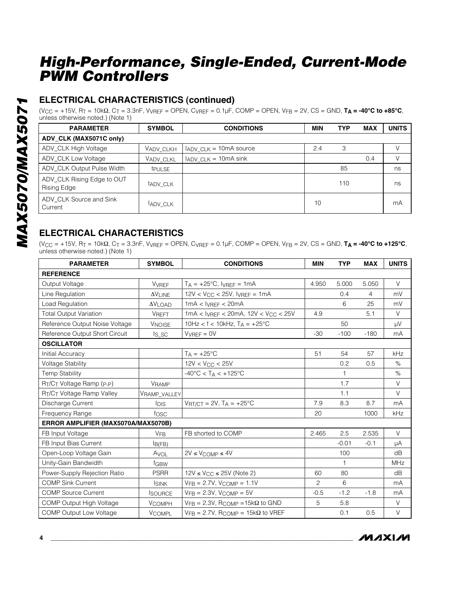## **ELECTRICAL CHARACTERISTICS (continued)**

(VCC = +15V, RT = 10kΩ, CT = 3.3nF, VVREF = OPEN, CVREF = 0.1µF, COMP = OPEN, VFB = 2V, CS = GND, **TA = -40°C to +85°C**, unless otherwise noted.) (Note 1)

| <b>PARAMETER</b>                                 | <b>SYMBOL</b>  | <b>CONDITIONS</b>            | <b>MIN</b> | <b>TYP</b> | <b>MAX</b> | <b>UNITS</b> |
|--------------------------------------------------|----------------|------------------------------|------------|------------|------------|--------------|
| ADV CLK (MAX5071C only)                          |                |                              |            |            |            |              |
| ADV_CLK High Voltage                             | VADV CLKH      | $I_{ADV\_CLK} = 10mA$ source | 2.4        | 3          |            | V            |
| ADV CLK Low Voltage                              | VADV CLKL      | $I_{ADV\_CLK} = 10mA \sin k$ |            |            | 0.4        | V            |
| ADV_CLK Output Pulse Width                       | <b>t</b> PULSE |                              |            | 85         |            | ns           |
| ADV_CLK Rising Edge to OUT<br><b>Rising Edge</b> | tady CLK       |                              |            | 110        |            | ns           |
| ADV CLK Source and Sink<br>Current               | <b>ADV CLK</b> |                              | 10         |            |            | mA           |

## **ELECTRICAL CHARACTERISTICS**

(VCC = +15V, RT = 10kΩ, CT = 3.3nF, VVREF = OPEN, CVREF = 0.1µF, COMP = OPEN, VFB = 2V, CS = GND, **TA = -40°C to +125°C**, unless otherwise noted.) (Note 1)

| <b>PARAMETER</b>                                  | <b>SYMBOL</b>   | <b>CONDITIONS</b>                                         |        | <b>TYP</b>   | <b>MAX</b> | <b>UNITS</b> |
|---------------------------------------------------|-----------------|-----------------------------------------------------------|--------|--------------|------------|--------------|
| <b>REFERENCE</b>                                  |                 |                                                           |        |              |            |              |
| Output Voltage                                    | <b>V</b> VREF   | $T_A = +25^{\circ}C$ , $I_{VREF} = 1mA$                   | 4.950  | 5.000        | 5.050      | V            |
| Line Regulation                                   | <b>AVLINE</b>   | $12V < V_{CC} < 25V$ , lyper = 1mA                        |        | 0.4          | 4          | mV           |
| Load Regulation                                   | $\Delta V$ LOAD | $1mA < I_{VREF} < 20mA$                                   |        | 6            | 25         | mV           |
| <b>Total Output Variation</b>                     | <b>VREFT</b>    | $1mA < I_{VREF} < 20mA$ , $12V < V_{CC} < 25V$            | 4.9    |              | 5.1        | $\vee$       |
| Reference Output Noise Voltage                    | <b>VNOISE</b>   | 10Hz < $f$ < 10kHz, T <sub>A</sub> = $+25^{\circ}$ C      |        | 50           |            | μV           |
| Reference Output Short Circuit                    | $Is_Sc$         | $V_{VREF} = 0V$                                           | $-30$  | $-100$       | $-180$     | mA           |
| <b>OSCILLATOR</b>                                 |                 |                                                           |        |              |            |              |
| Initial Accuracy                                  |                 | $TA = +25^{\circ}C$                                       | 51     | 54           | 57         | kHz          |
| <b>Voltage Stability</b>                          |                 | $12V < V_{CC} < 25V$                                      |        | 0.2          | 0.5        | %            |
| <b>Temp Stability</b>                             |                 | $-40^{\circ}$ C < T <sub>A</sub> < $+125^{\circ}$ C       |        | $\mathbf{1}$ |            | $\%$         |
| R <sub>T</sub> /C <sub>T</sub> Voltage Ramp (p-p) | VRAMP           |                                                           |        | 1.7          |            | $\vee$       |
| RT/CT Voltage Ramp Valley                         | VRAMP_VALLEY    |                                                           |        | 1.1          |            | $\vee$       |
| Discharge Current                                 | <b>IDIS</b>     | $V_{\text{RT/CT}} = 2V$ , $T_A = +25^{\circ}C$            | 7.9    | 8.3          | 8.7        | mA           |
| Frequency Range                                   | fosc            |                                                           | 20     |              | 1000       | kHz          |
| ERROR AMPLIFIER (MAX5070A/MAX5070B)               |                 |                                                           |        |              |            |              |
| FB Input Voltage                                  | <b>VFB</b>      | FB shorted to COMP                                        | 2.465  | 2.5          | 2.535      | V            |
| FB Input Bias Current                             | B(FB)           |                                                           |        | $-0.01$      | $-0.1$     | μA           |
| Open-Loop Voltage Gain                            | AVOL            | $2V \leq V_{\text{COMP}} \leq 4V$                         |        | 100          |            | dB           |
| Unity-Gain Bandwidth                              | fGBW            |                                                           |        | $\mathbf{1}$ |            | <b>MHz</b>   |
| Power-Supply Rejection Ratio                      | <b>PSRR</b>     | $12V \leq V_{CC} \leq 25V$ (Note 2)                       | 60     | 80           |            | dB           |
| <b>COMP Sink Current</b>                          | <b>ISINK</b>    | $VFB = 2.7V$ , $VCOMP = 1.1V$                             | 2      | 6            |            | mA           |
| <b>COMP Source Current</b>                        | <b>SOURCE</b>   | $VFB = 2.3V$ , $VCOMP = 5V$                               | $-0.5$ | $-1.2$       | $-1.8$     | mA           |
| COMP Output High Voltage                          | <b>VCOMPH</b>   | $V_{FB} = 2.3V$ , R <sub>COMP</sub> = 15k $\Omega$ to GND | 5      | 5.8          |            | $\vee$       |
| COMP Output Low Voltage                           | <b>VCOMPL</b>   | $VFB = 2.7V$ , RCOMP = 15k $\Omega$ to VREF               |        | 0.1          | 0.5        | $\vee$       |



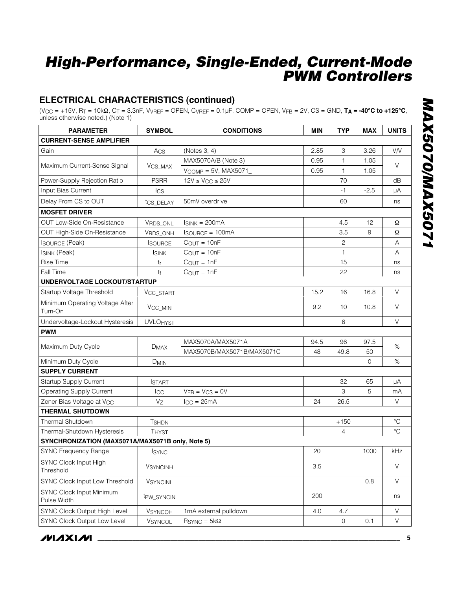## **ELECTRICAL CHARACTERISTICS (continued)**

(VCC = +15V, RT = 10kΩ, CT = 3.3nF, VVREF = OPEN, CVREF = 0.1µF, COMP = OPEN, VFB = 2V, CS = GND, **TA = -40°C to +125°C**, unless otherwise noted.) (Note 1)

| <b>PARAMETER</b>                                 | <b>SYMBOL</b>          | <b>CONDITIONS</b>          | <b>MIN</b> | <b>TYP</b>  | <b>MAX</b>  | <b>UNITS</b>    |
|--------------------------------------------------|------------------------|----------------------------|------------|-------------|-------------|-----------------|
| <b>CURRENT-SENSE AMPLIFIER</b>                   |                        |                            |            |             |             |                 |
| Gain                                             | Acs                    | (Notes 3, 4)               | 2.85       | 3           | 3.26        | V/V             |
|                                                  |                        | MAX5070A/B (Note 3)        | 0.95       | 1           | 1.05        |                 |
| Maximum Current-Sense Signal                     | V <sub>CS_MAX</sub>    | $V_{COMP} = 5V$ , MAX5071_ | 0.95       | 1           | 1.05        | V               |
| Power-Supply Rejection Ratio                     | <b>PSRR</b>            | $12V \leq V_{CC} \leq 25V$ |            | 70          |             | dB              |
| Input Bias Current                               | Ics                    |                            |            | -1          | $-2.5$      | μA              |
| Delay From CS to OUT                             | tcs_DELAY              | 50mV overdrive             |            | 60          |             | ns              |
| <b>MOSFET DRIVER</b>                             |                        |                            |            |             |             |                 |
| OUT Low-Side On-Resistance                       | VRDS_ONL               | $I_{SINK} = 200mA$         |            | 4.5         | 12          | Ω               |
| OUT High-Side On-Resistance                      | VRDS_ONH               | <b>ISOURCE = 100mA</b>     |            | 3.5         | 9           | Ω               |
| <b>ISOURCE (Peak)</b>                            | <b>ISOURCE</b>         | $C_{OUT} = 10nF$           |            | 2           |             | Α               |
| ISINK (Peak)                                     | <b>ISINK</b>           | $C_{\text{OUT}} = 10nF$    |            | 1           |             | Α               |
| Rise Time                                        | $t_{r}$                | $C_{OUT} = 1nF$            |            | 15          |             | ns              |
| Fall Time                                        | tf                     | $C_{OUT} = 1nF$            |            | 22          |             | ns              |
| UNDERVOLTAGE LOCKOUT/STARTUP                     |                        |                            |            |             |             |                 |
| Startup Voltage Threshold                        | V <sub>CC_START</sub>  |                            | 15.2       | 16          | 16.8        | V               |
| Minimum Operating Voltage After<br>Turn-On       | V <sub>CC_MIN</sub>    |                            | 9.2        | 10          | 10.8        | $\vee$          |
| Undervoltage-Lockout Hysteresis                  | <b>UVLOHYST</b>        |                            |            | 6           |             | $\vee$          |
| <b>PWM</b>                                       |                        |                            |            |             |             |                 |
|                                                  |                        | MAX5070A/MAX5071A          | 94.5       | 96          | 97.5        |                 |
| Maximum Duty Cycle                               | <b>DMAX</b>            | MAX5070B/MAX5071B/MAX5071C | 48         | 49.8        | 50          | $\%$            |
| Minimum Duty Cycle                               | <b>D<sub>MIN</sub></b> |                            |            |             | $\mathbf 0$ | $\%$            |
| <b>SUPPLY CURRENT</b>                            |                        |                            |            |             |             |                 |
| <b>Startup Supply Current</b>                    | <b>START</b>           |                            |            | 32          | 65          | μA              |
| <b>Operating Supply Current</b>                  | ICC                    | $VFB = VCS = OV$           |            | 3           | 5           | mA              |
| Zener Bias Voltage at V <sub>CC</sub>            | Vz                     | $I_{CC} = 25mA$            | 24         | 26.5        |             | V               |
| <b>THERMAL SHUTDOWN</b>                          |                        |                            |            |             |             |                 |
| Thermal Shutdown                                 | <b>TSHDN</b>           |                            |            | $+150$      |             | $\rm ^{\circ}C$ |
| Thermal-Shutdown Hysteresis                      | <b>THYST</b>           |                            |            | 4           |             | $\rm ^{\circ}C$ |
| SYNCHRONIZATION (MAX5071A/MAX5071B only, Note 5) |                        |                            |            |             |             |                 |
| <b>SYNC Frequency Range</b>                      | fsync                  |                            | 20         |             | 1000        | kHz             |
| SYNC Clock Input High<br>Threshold               | <b>VSYNCINH</b>        |                            | 3.5        |             |             | V               |
| SYNC Clock Input Low Threshold                   | <b>VSYNCINL</b>        |                            |            |             | 0.8         | V               |
| <b>SYNC Clock Input Minimum</b><br>Pulse Width   | tpw_SYNCIN             |                            | 200        |             |             | ns              |
| SYNC Clock Output High Level                     | <b>VSYNCOH</b>         | 1mA external pulldown      | 4.0        | 4.7         |             | V               |
| <b>SYNC Clock Output Low Level</b>               | VSYNCOL                | $RSYNC = 5kΩ$              |            | $\mathbf 0$ | 0.1         | V               |

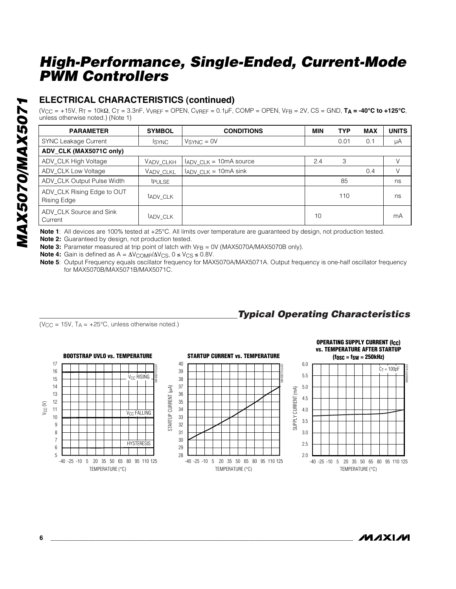## **ELECTRICAL CHARACTERISTICS (continued)**

(VCC = +15V, RT = 10kΩ, CT = 3.3nF, VVREF = OPEN, CVREF = 0.1µF, COMP = OPEN, VFB = 2V, CS = GND, **TA = -40°C to +125°C**, unless otherwise noted.) (Note 1)

| <b>PARAMETER</b>                                 | <b>SYMBOL</b>  | <b>CONDITIONS</b>                           | <b>MIN</b> | <b>TYP</b> | <b>MAX</b> | <b>UNITS</b> |
|--------------------------------------------------|----------------|---------------------------------------------|------------|------------|------------|--------------|
| <b>SYNC Leakage Current</b>                      | <b>ISYNC</b>   | $VSYNC = 0V$                                |            | 0.01       | 0.1        | μA           |
| ADV_CLK (MAX5071C only)                          |                |                                             |            |            |            |              |
| ADV_CLK High Voltage                             | VADV CLKH      | $I_{\text{ADV\_CLK}} = 10 \text{mA}$ source | 2.4        | 3          |            |              |
| ADV CLK Low Voltage                              | VADV CLKL      | $I_{\text{ADV\_CLK}} = 10 \text{mA} \sin k$ |            |            | 0.4        |              |
| ADV_CLK Output Pulse Width                       | <b>t</b> PULSE |                                             |            | 85         |            | ns           |
| ADV_CLK Rising Edge to OUT<br><b>Rising Edge</b> | tady CLK       |                                             |            | 110        |            | ns           |
| ADV CLK Source and Sink<br>Current               | <b>ADV CLK</b> |                                             | 10         |            |            | mA           |

**Note 1**: All devices are 100% tested at +25°C. All limits over temperature are guaranteed by design, not production tested.

**Note 2:** Guaranteed by design, not production tested.

**Note 3:** Parameter measured at trip point of latch with V<sub>FB</sub> = 0V (MAX5070A/MAX5070B only).

**Note 4:** Gain is defined as  $A = \Delta V_{\text{COMP}}/\Delta V_{\text{CS}}$ ,  $0 \leq V_{\text{CS}} \leq 0.8V$ .

Note 5: Output Frequency equals oscillator frequency for MAX5070A/MAX5071A. Output frequency is one-half oscillator frequency for MAX5070B/MAX5071B/MAX5071C.

 $(V_{\text{CC}} = 15V, T_A = +25^{\circ}\text{C}$ , unless otherwise noted.)

TEMPERATURE (°C)



# *Typical Operating Characteristics*



**OPERATING SUPPLY CURRENT (I<sub>CC</sub>)** 

*MAX5070/MAX5071*

**MAX5070/MAX507** 



Vcc (V)

5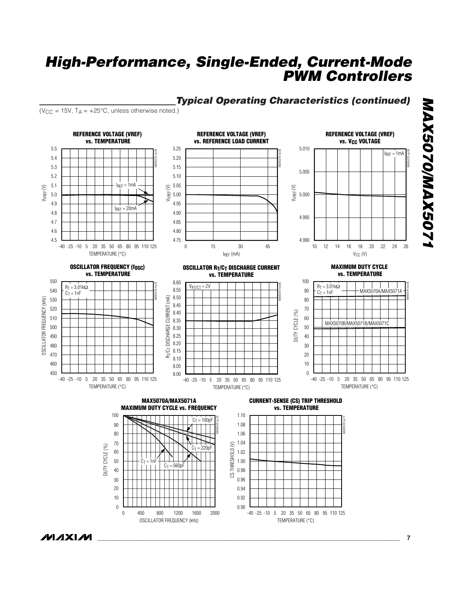## *Typical Operating Characteristics (continued)*

( $V_{CC}$  = 15V,  $T_A$  = +25°C, unless otherwise noted.)



**MAXM** 

*\_\_\_\_\_\_\_\_\_\_\_\_\_\_\_\_\_\_\_\_\_\_\_\_\_\_\_\_\_\_\_\_\_\_\_\_\_\_\_\_\_\_\_\_\_\_\_\_\_\_\_\_\_\_\_\_\_\_\_\_\_\_\_\_\_\_\_\_\_\_\_\_\_\_\_\_\_\_\_\_\_\_\_\_\_\_\_* **7**

*MAX5070/MAX5071*

MAX5070/MAX5071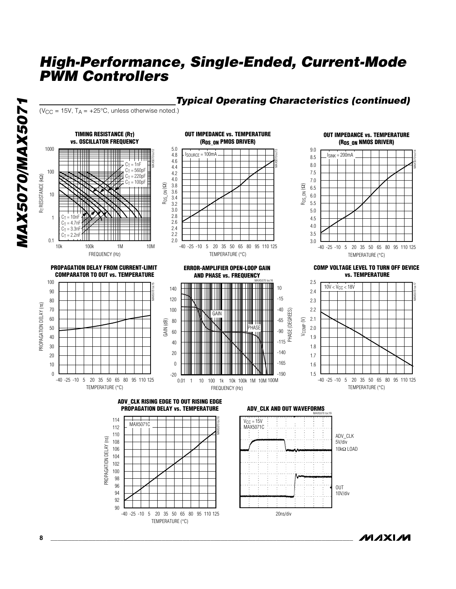

*IVI AXI IVI* 

**8 \_\_\_\_\_\_\_\_\_\_\_\_\_\_\_\_\_\_\_\_\_\_\_\_\_\_\_\_\_\_\_\_\_\_\_\_\_\_\_\_\_\_\_\_\_\_\_\_\_\_\_\_\_\_\_\_\_\_\_\_\_\_\_\_\_\_\_\_\_\_\_\_\_\_\_\_\_\_\_\_\_\_\_\_\_\_\_**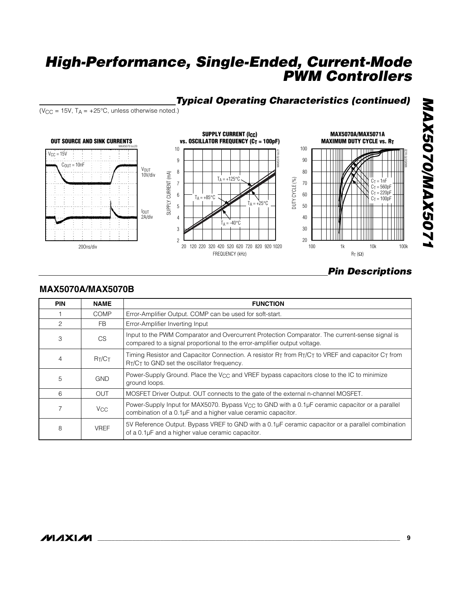## *Typical Operating Characteristics (continued)*

( $V_{CC}$  = 15V,  $T_A$  = +25°C, unless otherwise noted.)



# *Pin Descriptions*

#### **MAX5070A/MAX5070B**

| <b>PIN</b> | <b>NAME</b>           | <b>FUNCTION</b>                                                                                                                                                            |
|------------|-----------------------|----------------------------------------------------------------------------------------------------------------------------------------------------------------------------|
|            | <b>COMP</b>           | Error-Amplifier Output. COMP can be used for soft-start.                                                                                                                   |
| 2          | <b>FB</b>             | Error-Amplifier Inverting Input                                                                                                                                            |
| 3          | <b>CS</b>             | Input to the PWM Comparator and Overcurrent Protection Comparator. The current-sense signal is<br>compared to a signal proportional to the error-amplifier output voltage. |
| 4          | $R_T/C_T$             | Timing Resistor and Capacitor Connection. A resistor $R_T$ from $R_T/C_T$ to VREF and capacitor $C_T$ from<br>$R_T/C_T$ to GND set the oscillator frequency.               |
| 5          | <b>GND</b>            | Power-Supply Ground. Place the $V_{\text{CC}}$ and VREF bypass capacitors close to the IC to minimize<br>ground loops.                                                     |
| 6          | <b>OUT</b>            | MOSFET Driver Output. OUT connects to the gate of the external n-channel MOSFET.                                                                                           |
|            | <b>V<sub>CC</sub></b> | Power-Supply Input for MAX5070. Bypass $V_{CC}$ to GND with a 0.1µF ceramic capacitor or a parallel<br>combination of a 0.1µF and a higher value ceramic capacitor.        |
| 8          | <b>VREF</b>           | 5V Reference Output. Bypass VREF to GND with a 0.1µF ceramic capacitor or a parallel combination<br>of a 0.1µF and a higher value ceramic capacitor.                       |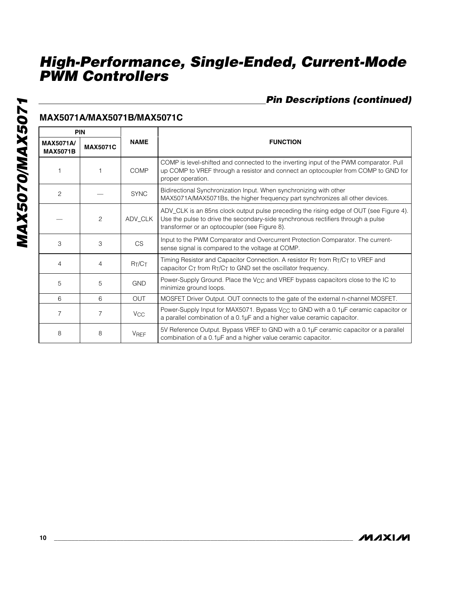## *Pin Descriptions (continued)*

| <b>PIN</b><br><b>MAX5071A/</b><br><b>MAX5071C</b><br><b>MAX5071B</b> |   |                       |                                                                                                                                                                                                                             |  |  |
|----------------------------------------------------------------------|---|-----------------------|-----------------------------------------------------------------------------------------------------------------------------------------------------------------------------------------------------------------------------|--|--|
|                                                                      |   | <b>NAME</b>           | <b>FUNCTION</b>                                                                                                                                                                                                             |  |  |
|                                                                      |   | COMP                  | COMP is level-shifted and connected to the inverting input of the PWM comparator. Pull<br>up COMP to VREF through a resistor and connect an optocoupler from COMP to GND for<br>proper operation.                           |  |  |
| 2                                                                    |   | <b>SYNC</b>           | Bidirectional Synchronization Input. When synchronizing with other<br>MAX5071A/MAX5071Bs, the higher frequency part synchronizes all other devices.                                                                         |  |  |
|                                                                      | 2 | ADV CLK               | ADV_CLK is an 85ns clock output pulse preceding the rising edge of OUT (see Figure 4).<br>Use the pulse to drive the secondary-side synchronous rectifiers through a pulse<br>transformer or an optocoupler (see Figure 8). |  |  |
| 3                                                                    | 3 | <b>CS</b>             | Input to the PWM Comparator and Overcurrent Protection Comparator. The current-<br>sense signal is compared to the voltage at COMP.                                                                                         |  |  |
| 4                                                                    | 4 | $R_T/C_T$             | Timing Resistor and Capacitor Connection. A resistor $RT$ from $RT/CT$ to VREF and<br>capacitor $C_T$ from $R_T/C_T$ to GND set the oscillator frequency.                                                                   |  |  |
| 5                                                                    | 5 | <b>GND</b>            | Power-Supply Ground. Place the $V_{CC}$ and VREF bypass capacitors close to the IC to<br>minimize ground loops.                                                                                                             |  |  |
| 6                                                                    | 6 | <b>OUT</b>            | MOSFET Driver Output. OUT connects to the gate of the external n-channel MOSFET.                                                                                                                                            |  |  |
| $\overline{7}$                                                       | 7 | <b>V<sub>CC</sub></b> | Power-Supply Input for MAX5071. Bypass $V_{CC}$ to GND with a 0.1µF ceramic capacitor or<br>a parallel combination of a 0.1µF and a higher value ceramic capacitor.                                                         |  |  |
| 8                                                                    | 8 | <b>VREF</b>           | 5V Reference Output. Bypass VREF to GND with a 0.1µF ceramic capacitor or a parallel<br>combination of a 0.1µF and a higher value ceramic capacitor.                                                                        |  |  |

# **MAX5071A/MAX5071B/MAX5071C**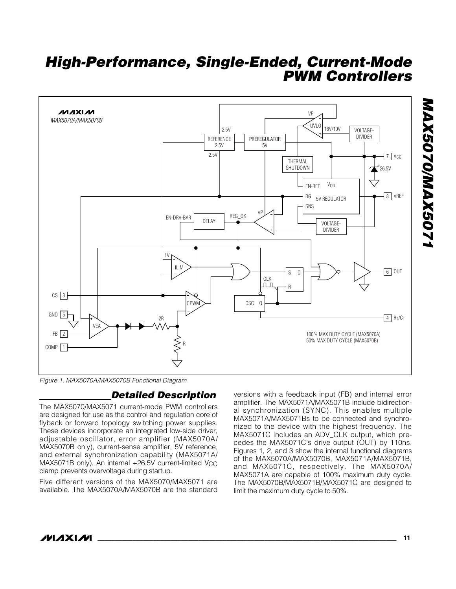

*Figure 1. MAX5070A/MAX5070B Functional Diagram*

## *Detailed Description*

The MAX5070/MAX5071 current-mode PWM controllers are designed for use as the control and regulation core of flyback or forward topology switching power supplies. These devices incorporate an integrated low-side driver, adjustable oscillator, error amplifier (MAX5070A/ MAX5070B only), current-sense amplifier, 5V reference, and external synchronization capability (MAX5071A/ MAX5071B only). An internal +26.5V current-limited V<sub>CC</sub> clamp prevents overvoltage during startup.

Five different versions of the MAX5070/MAX5071 are available. The MAX5070A/MAX5070B are the standard versions with a feedback input (FB) and internal error amplifier. The MAX5071A/MAX5071B include bidirectional synchronization (SYNC). This enables multiple MAX5071A/MAX5071Bs to be connected and synchronized to the device with the highest frequency. The MAX5071C includes an ADV\_CLK output, which precedes the MAX5071C's drive output (OUT) by 110ns. Figures 1, 2, and 3 show the internal functional diagrams of the MAX5070A/MAX5070B, MAX5071A/MAX5071B, and MAX5071C, respectively. The MAX5070A/ MAX5071A are capable of 100% maximum duty cycle. The MAX5070B/MAX5071B/MAX5071C are designed to limit the maximum duty cycle to 50%.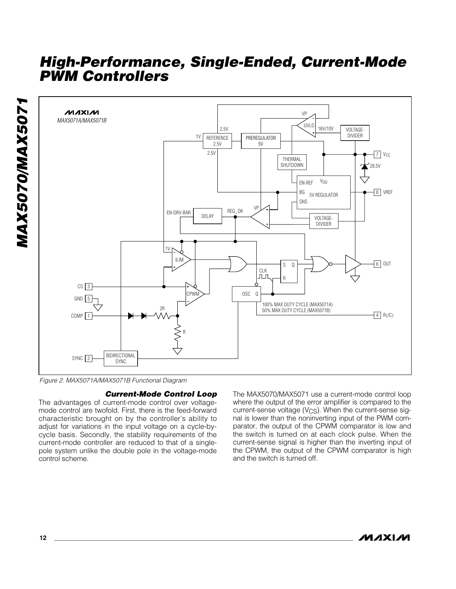

*Figure 2. MAX5071A/MAX5071B Functional Diagram*

#### *Current-Mode Control Loop*

The advantages of current-mode control over voltagemode control are twofold. First, there is the feed-forward characteristic brought on by the controller's ability to adjust for variations in the input voltage on a cycle-bycycle basis. Secondly, the stability requirements of the current-mode controller are reduced to that of a singlepole system unlike the double pole in the voltage-mode control scheme.

The MAX5070/MAX5071 use a current-mode control loop where the output of the error amplifier is compared to the current-sense voltage ( $VCS$ ). When the current-sense signal is lower than the noninverting input of the PWM comparator, the output of the CPWM comparator is low and the switch is turned on at each clock pulse. When the current-sense signal is higher than the inverting input of the CPWM, the output of the CPWM comparator is high and the switch is turned off.

/VI /I X I /VI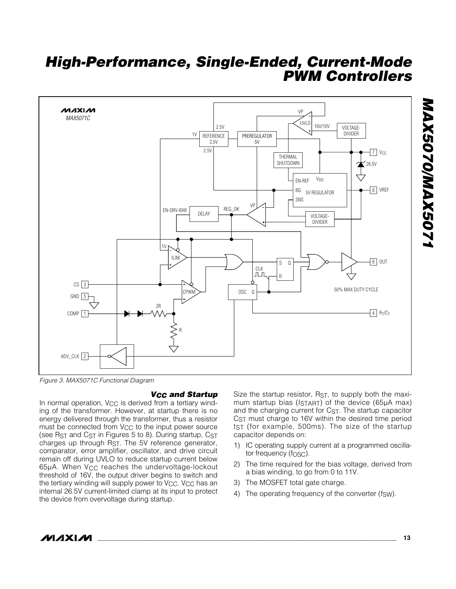

*Figure 3. MAX5071C Functional Diagram*

#### *VCC and Startup*

In normal operation, V<sub>CC</sub> is derived from a tertiary winding of the transformer. However, at startup there is no energy delivered through the transformer, thus a resistor must be connected from V<sub>CC</sub> to the input power source (see R<sub>ST</sub> and C<sub>ST</sub> in Figures 5 to 8). During startup, C<sub>ST</sub> charges up through RST. The 5V reference generator, comparator, error amplifier, oscillator, and drive circuit remain off during UVLO to reduce startup current below 65µA. When V<sub>CC</sub> reaches the undervoltage-lockout threshold of 16V, the output driver begins to switch and the tertiary winding will supply power to V<sub>CC</sub>. V<sub>CC</sub> has an internal 26.5V current-limited clamp at its input to protect the device from overvoltage during startup.

Size the startup resistor, R<sub>ST</sub>, to supply both the maximum startup bias (ISTART) of the device (65µA max) and the charging current for CST. The startup capacitor C<sub>ST</sub> must charge to 16V within the desired time period  $tST$  (for example, 500ms). The size of the startup capacitor depends on:

- 1) IC operating supply current at a programmed oscillator frequency (f<sub>OSC</sub>).
- 2) The time required for the bias voltage, derived from a bias winding, to go from 0 to 11V.
- 3) The MOSFET total gate charge.
- 4) The operating frequency of the converter (fsw).

# *MAX5070/MAX5071* MAX5070/MAX5071

## **MAXM**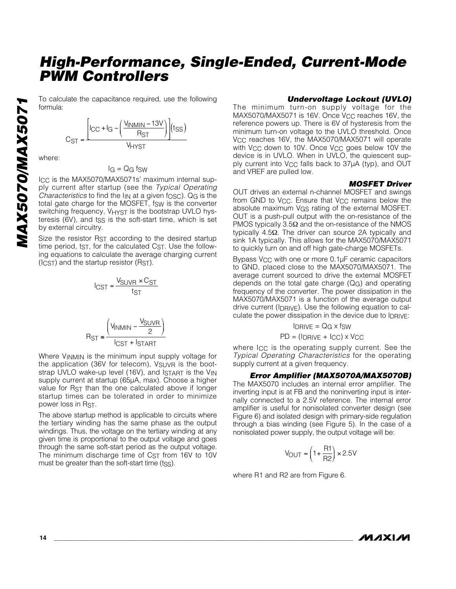formula:



where:

#### $IG = QG$  fsw

To calculate the capacitance required, use the following<br>
formula:<br>  $C_{ST} = \frac{\left[|CC + I_G - \left(\frac{V_{INMIN} - 13V}{R_{ST}}\right)\right] (t_{SS})}{V_{HYST}}$ <br>
where:<br>  $I_G = Q_G$  fsw<br>
ICC is the MAX5070/MAX5071s' maximum internal sup-<br>
ply current after start ICC is the MAX5070/MAX5071s' maximum internal supply current after startup (see the *Typical Operating Characteristics* to find the I<sub>IN</sub> at a given f<sub>OSC</sub>). Q<sub>G</sub> is the total gate charge for the MOSFET, fsw is the converter switching frequency, VHYST is the bootstrap UVLO hysteresis  $(6V)$ , and tss is the soft-start time, which is set by external circuitry.

Size the resistor R<sub>ST</sub> according to the desired startup time period, tst, for the calculated Cst. Use the following equations to calculate the average charging current (ICST) and the startup resistor (RST).

$$
I_{\text{CST}} = \frac{V_{\text{SUVR}} \times C_{\text{ST}}}{t_{\text{ST}}}
$$

$$
R_{ST} \approx \frac{\left(V_{INMIN} - \frac{V_{SUVR}}{2}\right)}{I_{CST} + I_{START}}
$$

Where VINMIN is the minimum input supply voltage for the application (36V for telecom),  $V_{\text{SUVR}}$  is the bootstrap UVLO wake-up level (16V), and ISTART is the V<sub>IN</sub> supply current at startup (65µA, max). Choose a higher value for RST than the one calculated above if longer startup times can be tolerated in order to minimize power loss in RST.

The above startup method is applicable to circuits where the tertiary winding has the same phase as the output windings. Thus, the voltage on the tertiary winding at any given time is proportional to the output voltage and goes through the same soft-start period as the output voltage. The minimum discharge time of C<sub>ST</sub> from 16V to 10V must be greater than the soft-start time (tss).

#### *Undervoltage Lockout (UVLO)*

The minimum turn-on supply voltage for the  $MAX5070/MAX5071$  is 16V. Once V<sub>CC</sub> reaches 16V, the reference powers up. There is 6V of hysteresis from the minimum turn-on voltage to the UVLO threshold. Once V<sub>CC</sub> reaches 16V, the MAX5070/MAX5071 will operate with V<sub>CC</sub> down to 10V. Once V<sub>CC</sub> goes below 10V the device is in UVLO. When in UVLO, the quiescent supply current into V<sub>CC</sub> falls back to 37µA (typ), and OUT and VREF are pulled low.

#### *MOSFET Driver*

OUT drives an external n-channel MOSFET and swings from GND to V<sub>CC</sub>. Ensure that V<sub>CC</sub> remains below the absolute maximum VGS rating of the external MOSFET. OUT is a push-pull output with the on-resistance of the PMOS typically 3.5Ω and the on-resistance of the NMOS typically 4.5Ω. The driver can source 2A typically and sink 1A typically. This allows for the MAX5070/MAX5071 to quickly turn on and off high gate-charge MOSFETs.

Bypass VCC with one or more 0.1µF ceramic capacitors to GND, placed close to the MAX5070/MAX5071. The average current sourced to drive the external MOSFET depends on the total gate charge  $(Q_G)$  and operating frequency of the converter. The power dissipation in the MAX5070/MAX5071 is a function of the average output drive current (IDRIVE). Use the following equation to calculate the power dissipation in the device due to IDRIVE:

$$
I_{DRIVE} = Q_G \times f_{SW}
$$

 $PD = (IDRIVE + ICC) \times VCC$ 

where I<sub>CC</sub> is the operating supply current. See the *Typical Operating Characteristics* for the operating supply current at a given frequency.

#### *Error Amplifier (MAX5070A/MAX5070B)*

The MAX5070 includes an internal error amplifier. The inverting input is at FB and the noninverting input is internally connected to a 2.5V reference. The internal error amplifier is useful for nonisolated converter design (see Figure 6) and isolated design with primary-side regulation through a bias winding (see Figure 5). In the case of a nonisolated power supply, the output voltage will be:

$$
V_{\text{OUT}} = \left(1 + \frac{\text{R1}}{\text{R2}}\right) \times 2.5 \text{V}
$$

where R1 and R2 are from Figure 6.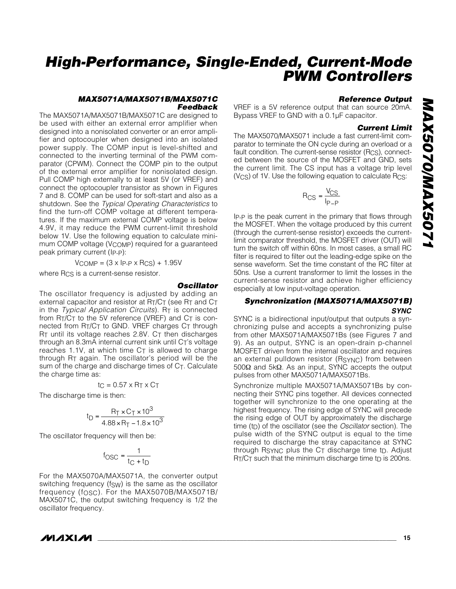#### *MAX5071A/MAX5071B/MAX5071C Feedback*

The MAX5071A/MAX5071B/MAX5071C are designed to be used with either an external error amplifier when designed into a nonisolated converter or an error amplifier and optocoupler when designed into an isolated power supply. The COMP input is level-shifted and connected to the inverting terminal of the PWM comparator (CPWM). Connect the COMP pin to the output of the external error amplifier for nonisolated design. Pull COMP high externally to at least 5V (or VREF) and connect the optocoupler transistor as shown in Figures 7 and 8. COMP can be used for soft-start and also as a shutdown. See the *Typical Operating Characteristics* to find the turn-off COMP voltage at different temperatures. If the maximum external COMP voltage is below 4.9V, it may reduce the PWM current-limit threshold below 1V. Use the following equation to calculate minimum COMP voltage (V<sub>COMP</sub>) required for a guaranteed peak primary current (I<sub>P-P</sub>):

$$
V_{COMP} = (3 \times I_{P-P} \times R_{CS}) + 1.95V
$$

where RCS is a current-sense resistor.

#### *Oscillator*

The oscillator frequency is adjusted by adding an external capacitor and resistor at  $R_T/C_T$  (see  $R_T$  and  $C_T$ in the *Typical Application Circuits*). RT is connected from  $R_T/C_T$  to the 5V reference (VREF) and  $C_T$  is connected from RT/CT to GND. VREF charges CT through  $R<sub>T</sub>$  until its voltage reaches 2.8V.  $C<sub>T</sub>$  then discharges through an 8.3mA internal current sink until CT's voltage reaches 1.1V, at which time  $C_T$  is allowed to charge through  $R<sub>T</sub>$  again. The oscillator's period will be the sum of the charge and discharge times of CT. Calculate the charge time as:

$$
t_C = 0.57 \times R_T \times C_T
$$

The discharge time is then:

$$
t_{D} = \frac{R_{T} \times C_{T} \times 10^{3}}{4.88 \times R_{T} - 1.8 \times 10^{3}}
$$

The oscillator frequency will then be:

$$
f_{\text{OSC}} = \frac{1}{t_{\text{C}} + t_{\text{D}}}
$$

For the MAX5070A/MAX5071A, the converter output switching frequency (f<sub>SW</sub>) is the same as the oscillator frequency (fOSC). For the MAX5070B/MAX5071B/ MAX5071C, the output switching frequency is 1/2 the oscillator frequency.

#### *Reference Output*

VREF is a 5V reference output that can source 20mA. Bypass VREF to GND with a 0.1µF capacitor.

#### *Current Limit*

The MAX5070/MAX5071 include a fast current-limit comparator to terminate the ON cycle during an overload or a fault condition. The current-sense resistor (R<sub>CS</sub>), connected between the source of the MOSFET and GND, sets the current limit. The CS input has a voltage trip level  $(V_{\text{CS}})$  of 1V. Use the following equation to calculate R<sub>CS</sub>:

$$
R_{CS} = \frac{V_{CS}}{I_{P-P}}
$$

IP-P is the peak current in the primary that flows through the MOSFET. When the voltage produced by this current (through the current-sense resistor) exceeds the currentlimit comparator threshold, the MOSFET driver (OUT) will turn the switch off within 60ns. In most cases, a small RC filter is required to filter out the leading-edge spike on the sense waveform. Set the time constant of the RC filter at 50ns. Use a current transformer to limit the losses in the current-sense resistor and achieve higher efficiency especially at low input-voltage operation.

#### *Synchronization (MAX5071A/MAX5071B) SYNC*

SYNC is a bidirectional input/output that outputs a synchronizing pulse and accepts a synchronizing pulse from other MAX5071A/MAX5071Bs (see Figures 7 and 9). As an output, SYNC is an open-drain p-channel MOSFET driven from the internal oscillator and requires an external pulldown resistor (R<sub>SYNC</sub>) from between 500Ω and 5kΩ. As an input, SYNC accepts the output pulses from other MAX5071A/MAX5071Bs.

Synchronize multiple MAX5071A/MAX5071Bs by connecting their SYNC pins together. All devices connected together will synchronize to the one operating at the highest frequency. The rising edge of SYNC will precede the rising edge of OUT by approximately the discharge time (t<sub>D</sub>) of the oscillator (see the *Oscillator* section). The pulse width of the SYNC output is equal to the time required to discharge the stray capacitance at SYNC through RSYNC plus the C<sub>T</sub> discharge time t<sub>D</sub>. Adjust  $R<sub>T</sub>/C<sub>T</sub>$  such that the minimum discharge time t $<sub>D</sub>$  is 200ns.</sub>

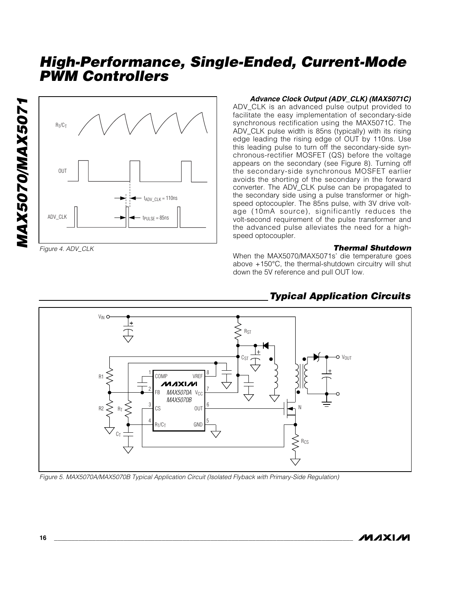

*Figure 4. ADV\_CLK*

*Advance Clock Output (ADV\_CLK) (MAX5071C)*

ADV\_CLK is an advanced pulse output provided to facilitate the easy implementation of secondary-side synchronous rectification using the MAX5071C. The ADV\_CLK pulse width is 85ns (typically) with its rising edge leading the rising edge of OUT by 110ns. Use this leading pulse to turn off the secondary-side synchronous-rectifier MOSFET (QS) before the voltage appears on the secondary (see Figure 8). Turning off the secondary-side synchronous MOSFET earlier avoids the shorting of the secondary in the forward converter. The ADV\_CLK pulse can be propagated to the secondary side using a pulse transformer or highspeed optocoupler. The 85ns pulse, with 3V drive voltage (10mA source), significantly reduces the volt-second requirement of the pulse transformer and the advanced pulse alleviates the need for a highspeed optocoupler.

#### *Thermal Shutdown*

When the MAX5070/MAX5071s' die temperature goes above +150°C, the thermal-shutdown circuitry will shut down the 5V reference and pull OUT low.



### *Typical Application Circuits*

*Figure 5. MAX5070A/MAX5070B Typical Application Circuit (Isolated Flyback with Primary-Side Regulation)*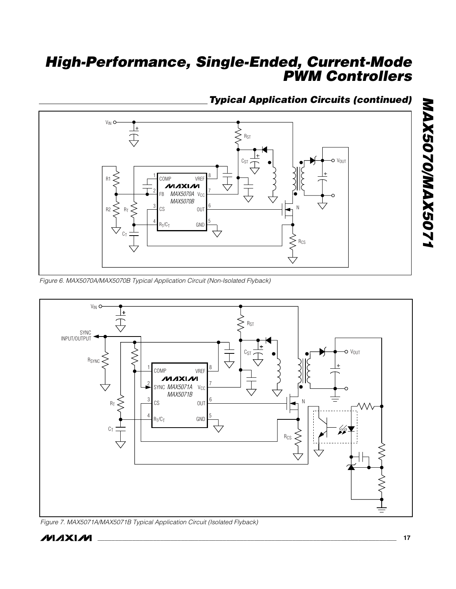## *Typical Application Circuits (continued)*



*Figure 6. MAX5070A/MAX5070B Typical Application Circuit (Non-Isolated Flyback)*



*Figure 7. MAX5071A/MAX5071B Typical Application Circuit (Isolated Flyback)*

**MAXIM** 

*MAX5070/MAX5071*

MAX5070/MAX5071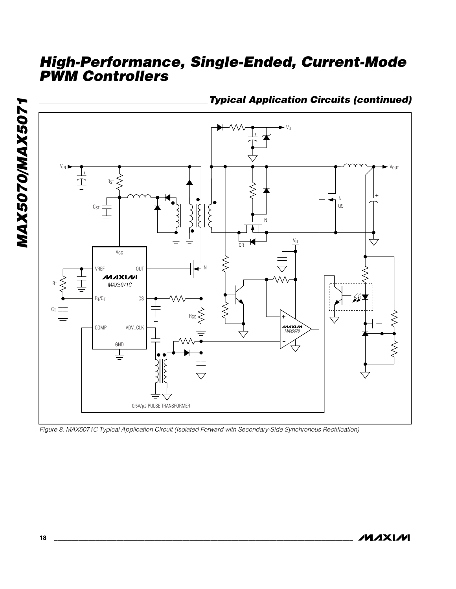

VOUT N QS N  $\frac{V_D}{V_D}$  $\overline{\mathcal{L}}$ N  $\frac{1}{\pm}$ RT *MAX5071C*  $R_T/C_T$ CS  $C<sub>T</sub>$ RCS *MAX5078* COMP ADV\_CLK GND  $\frac{1}{\overline{1}}$ 0.5V/µs PULSE TRANSFORMER



Vг

*Figure 8. MAX5071C Typical Application Circuit (Isolated Forward with Secondary-Side Synchronous Rectification)*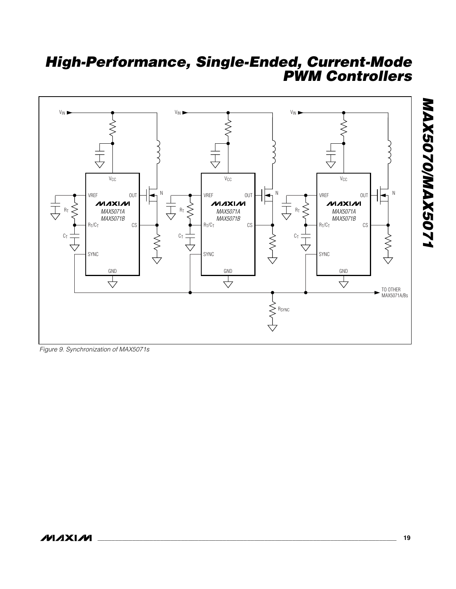

*Figure 9. Synchronization of MAX5071s*

*MAX5070/MAX5071*

**MAX5070/MAX5071**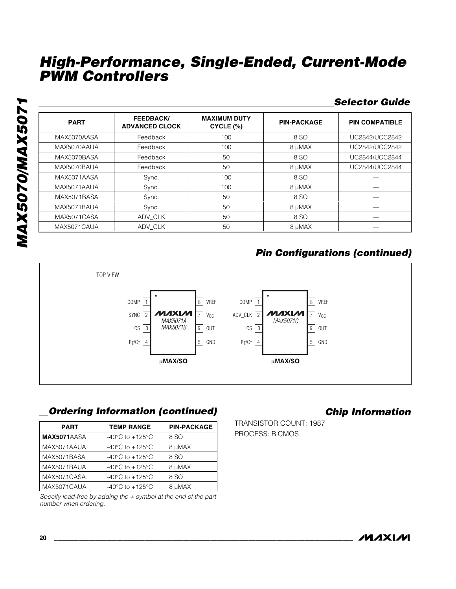## *Selector Guide*

| <b>PART</b> | <b>FEEDBACK/</b><br><b>ADVANCED CLOCK</b> | <b>MAXIMUM DUTY</b><br>CYCLE (%) | <b>PIN-PACKAGE</b> | <b>PIN COMPATIBLE</b> |
|-------------|-------------------------------------------|----------------------------------|--------------------|-----------------------|
| MAX5070AASA | Feedback                                  | 100                              | 8 SO               | UC2842/UCC2842        |
| MAX5070AAUA | Feedback                                  | 100                              | 8 µMAX             | UC2842/UCC2842        |
| MAX5070BASA | Feedback                                  | 50                               | 8 SO               | UC2844/UCC2844        |
| MAX5070BAUA | Feedback                                  | 50                               | 8 µMAX             | UC2844/UCC2844        |
| MAX5071AASA | Sync.                                     | 100                              | 8 SO               |                       |
| MAX5071AAUA | Sync.                                     | 100                              | 8 µMAX             |                       |
| MAX5071BASA | Sync.                                     | 50                               | 8 SO               |                       |
| MAX5071BAUA | Sync.                                     | 50                               | 8 µMAX             |                       |
| MAX5071CASA | ADV CLK                                   | 50                               | 8 SO               |                       |
| MAX5071CAUA | ADV CLK                                   | 50                               | 8 µMAX             |                       |

# *Pin Configurations (continued)*



## *Ordering Information (continued)*

| <b>PART</b>        | <b>TEMP RANGE</b>                     | <b>PIN-PACKAGE</b> |
|--------------------|---------------------------------------|--------------------|
| <b>MAX5071AASA</b> | -40 $^{\circ}$ C to +125 $^{\circ}$ C | 8 SO               |
| MAX5071AAUA        | -40 $^{\circ}$ C to +125 $^{\circ}$ C | 8 µMAX             |
| MAX5071BASA        | -40 $^{\circ}$ C to +125 $^{\circ}$ C | 8 SO               |
| MAX5071BAUA        | $-40^{\circ}$ C to $+125^{\circ}$ C   | 8 µMAX             |
| MAX5071CASA        | -40 $^{\circ}$ C to +125 $^{\circ}$ C | 8 SO               |
| MAX5071CAUA        | -40 $^{\circ}$ C to +125 $^{\circ}$ C | 8 µMAX             |

*Specify lead-free by adding the + symbol at the end of the part number when ordering.* 

## *Chip Information*

TRANSISTOR COUNT: 1987 PROCESS: BiCMOS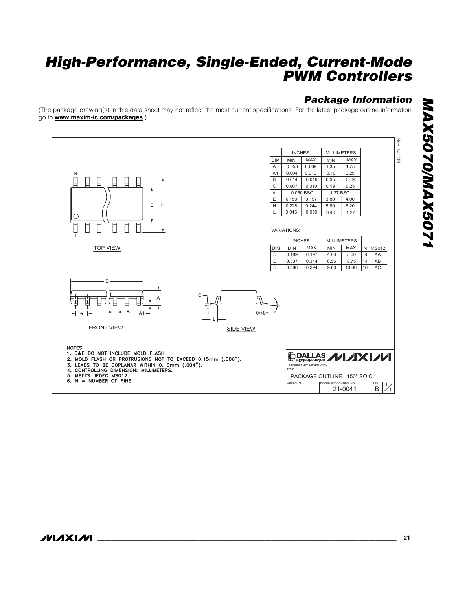## *Package Information*

(The package drawing(s) in this data sheet may not reflect the most current specifications. For the latest package outline information go to **www.maxim-ic.com/packages**.)